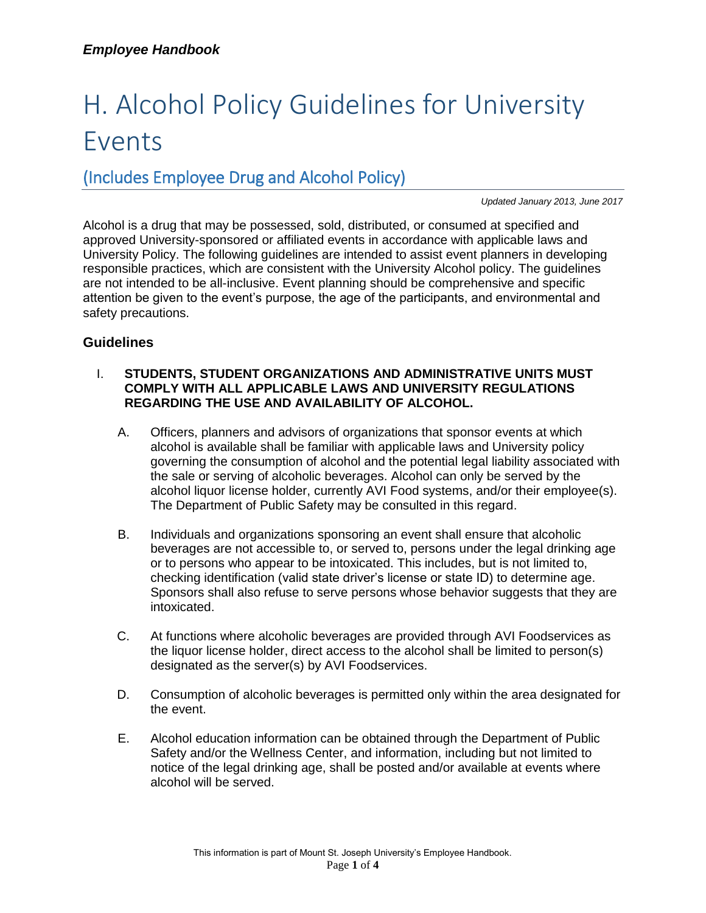# H. Alcohol Policy Guidelines for University Events

# (Includes Employee Drug and Alcohol Policy)

*Updated January 2013, June 2017*

Alcohol is a drug that may be possessed, sold, distributed, or consumed at specified and approved University-sponsored or affiliated events in accordance with applicable laws and University Policy. The following guidelines are intended to assist event planners in developing responsible practices, which are consistent with the University Alcohol policy. The guidelines are not intended to be all-inclusive. Event planning should be comprehensive and specific attention be given to the event's purpose, the age of the participants, and environmental and safety precautions.

## **Guidelines**

#### I. **STUDENTS, STUDENT ORGANIZATIONS AND ADMINISTRATIVE UNITS MUST COMPLY WITH ALL APPLICABLE LAWS AND UNIVERSITY REGULATIONS REGARDING THE USE AND AVAILABILITY OF ALCOHOL.**

- A. Officers, planners and advisors of organizations that sponsor events at which alcohol is available shall be familiar with applicable laws and University policy governing the consumption of alcohol and the potential legal liability associated with the sale or serving of alcoholic beverages. Alcohol can only be served by the alcohol liquor license holder, currently AVI Food systems, and/or their employee(s). The Department of Public Safety may be consulted in this regard.
- B. Individuals and organizations sponsoring an event shall ensure that alcoholic beverages are not accessible to, or served to, persons under the legal drinking age or to persons who appear to be intoxicated. This includes, but is not limited to, checking identification (valid state driver's license or state ID) to determine age. Sponsors shall also refuse to serve persons whose behavior suggests that they are intoxicated.
- C. At functions where alcoholic beverages are provided through AVI Foodservices as the liquor license holder, direct access to the alcohol shall be limited to person(s) designated as the server(s) by AVI Foodservices.
- D. Consumption of alcoholic beverages is permitted only within the area designated for the event.
- E. Alcohol education information can be obtained through the Department of Public Safety and/or the Wellness Center, and information, including but not limited to notice of the legal drinking age, shall be posted and/or available at events where alcohol will be served.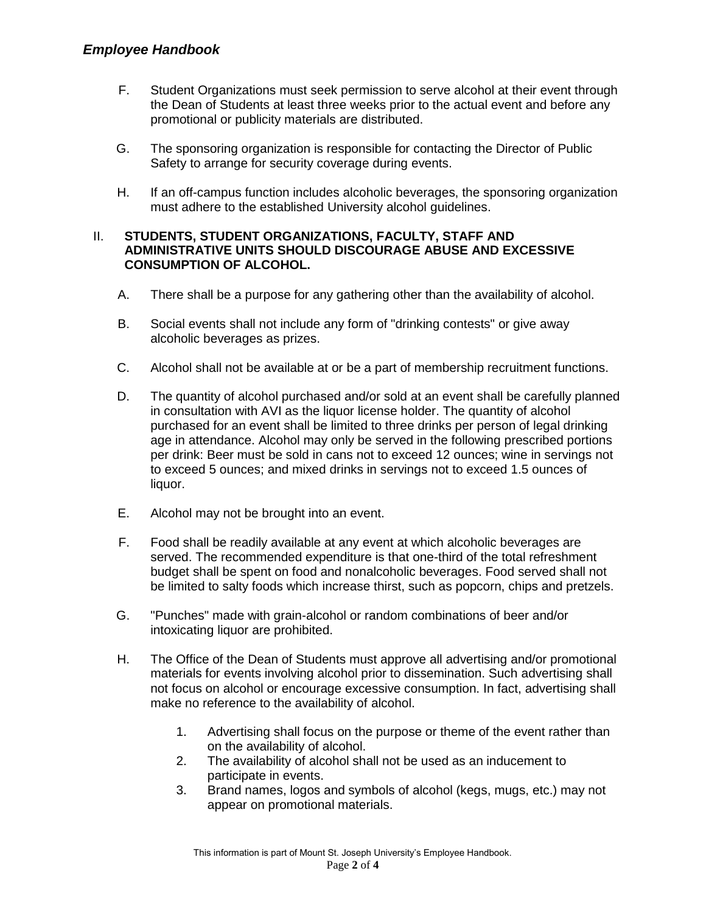- F. Student Organizations must seek permission to serve alcohol at their event through the Dean of Students at least three weeks prior to the actual event and before any promotional or publicity materials are distributed.
- G. The sponsoring organization is responsible for contacting the Director of Public Safety to arrange for security coverage during events.
- H. If an off-campus function includes alcoholic beverages, the sponsoring organization must adhere to the established University alcohol guidelines.

#### II. **STUDENTS, STUDENT ORGANIZATIONS, FACULTY, STAFF AND ADMINISTRATIVE UNITS SHOULD DISCOURAGE ABUSE AND EXCESSIVE CONSUMPTION OF ALCOHOL.**

- A. There shall be a purpose for any gathering other than the availability of alcohol.
- B. Social events shall not include any form of "drinking contests" or give away alcoholic beverages as prizes.
- C. Alcohol shall not be available at or be a part of membership recruitment functions.
- D. The quantity of alcohol purchased and/or sold at an event shall be carefully planned in consultation with AVI as the liquor license holder. The quantity of alcohol purchased for an event shall be limited to three drinks per person of legal drinking age in attendance. Alcohol may only be served in the following prescribed portions per drink: Beer must be sold in cans not to exceed 12 ounces; wine in servings not to exceed 5 ounces; and mixed drinks in servings not to exceed 1.5 ounces of liquor.
- E. Alcohol may not be brought into an event.
- F. Food shall be readily available at any event at which alcoholic beverages are served. The recommended expenditure is that one-third of the total refreshment budget shall be spent on food and nonalcoholic beverages. Food served shall not be limited to salty foods which increase thirst, such as popcorn, chips and pretzels.
- G. "Punches" made with grain-alcohol or random combinations of beer and/or intoxicating liquor are prohibited.
- H. The Office of the Dean of Students must approve all advertising and/or promotional materials for events involving alcohol prior to dissemination. Such advertising shall not focus on alcohol or encourage excessive consumption. In fact, advertising shall make no reference to the availability of alcohol.
	- 1. Advertising shall focus on the purpose or theme of the event rather than on the availability of alcohol.
	- 2. The availability of alcohol shall not be used as an inducement to participate in events.
	- 3. Brand names, logos and symbols of alcohol (kegs, mugs, etc.) may not appear on promotional materials.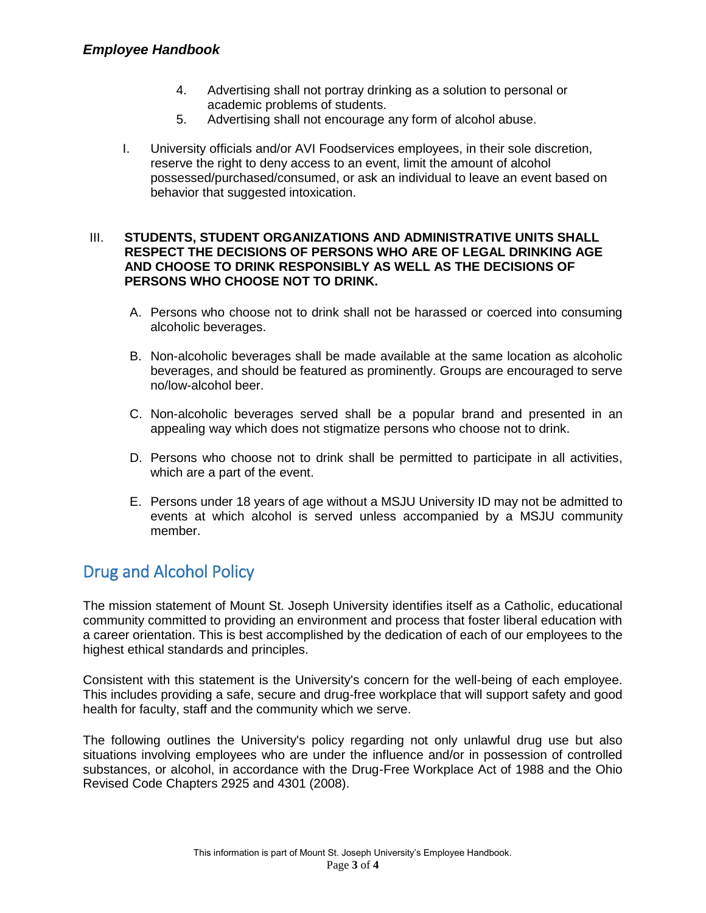## *Employee Handbook*

- 4. Advertising shall not portray drinking as a solution to personal or academic problems of students.
- 5. Advertising shall not encourage any form of alcohol abuse.
- I. University officials and/or AVI Foodservices employees, in their sole discretion, reserve the right to deny access to an event, limit the amount of alcohol possessed/purchased/consumed, or ask an individual to leave an event based on behavior that suggested intoxication.

#### III. **STUDENTS, STUDENT ORGANIZATIONS AND ADMINISTRATIVE UNITS SHALL RESPECT THE DECISIONS OF PERSONS WHO ARE OF LEGAL DRINKING AGE AND CHOOSE TO DRINK RESPONSIBLY AS WELL AS THE DECISIONS OF PERSONS WHO CHOOSE NOT TO DRINK.**

- A. Persons who choose not to drink shall not be harassed or coerced into consuming alcoholic beverages.
- B. Non-alcoholic beverages shall be made available at the same location as alcoholic beverages, and should be featured as prominently. Groups are encouraged to serve no/low-alcohol beer.
- C. Non-alcoholic beverages served shall be a popular brand and presented in an appealing way which does not stigmatize persons who choose not to drink.
- D. Persons who choose not to drink shall be permitted to participate in all activities, which are a part of the event.
- E. Persons under 18 years of age without a MSJU University ID may not be admitted to events at which alcohol is served unless accompanied by a MSJU community member.

# Drug and Alcohol Policy

The mission statement of Mount St. Joseph University identifies itself as a Catholic, educational community committed to providing an environment and process that foster liberal education with a career orientation. This is best accomplished by the dedication of each of our employees to the highest ethical standards and principles.

Consistent with this statement is the University's concern for the well-being of each employee. This includes providing a safe, secure and drug-free workplace that will support safety and good health for faculty, staff and the community which we serve.

The following outlines the University's policy regarding not only unlawful drug use but also situations involving employees who are under the influence and/or in possession of controlled substances, or alcohol, in accordance with the Drug-Free Workplace Act of 1988 and the Ohio Revised Code Chapters 2925 and 4301 (2008).